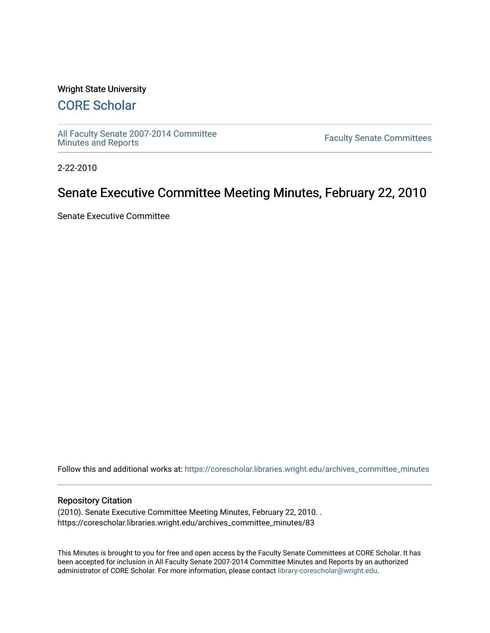### Wright State University

# [CORE Scholar](https://corescholar.libraries.wright.edu/)

[All Faculty Senate 2007-2014 Committee](https://corescholar.libraries.wright.edu/archives_committee_minutes)

**Faculty Senate Committees** 

2-22-2010

# Senate Executive Committee Meeting Minutes, February 22, 2010

Senate Executive Committee

Follow this and additional works at: [https://corescholar.libraries.wright.edu/archives\\_committee\\_minutes](https://corescholar.libraries.wright.edu/archives_committee_minutes?utm_source=corescholar.libraries.wright.edu%2Farchives_committee_minutes%2F83&utm_medium=PDF&utm_campaign=PDFCoverPages) 

### Repository Citation

(2010). Senate Executive Committee Meeting Minutes, February 22, 2010. . https://corescholar.libraries.wright.edu/archives\_committee\_minutes/83

This Minutes is brought to you for free and open access by the Faculty Senate Committees at CORE Scholar. It has been accepted for inclusion in All Faculty Senate 2007-2014 Committee Minutes and Reports by an authorized administrator of CORE Scholar. For more information, please contact [library-corescholar@wright.edu.](mailto:library-corescholar@wright.edu)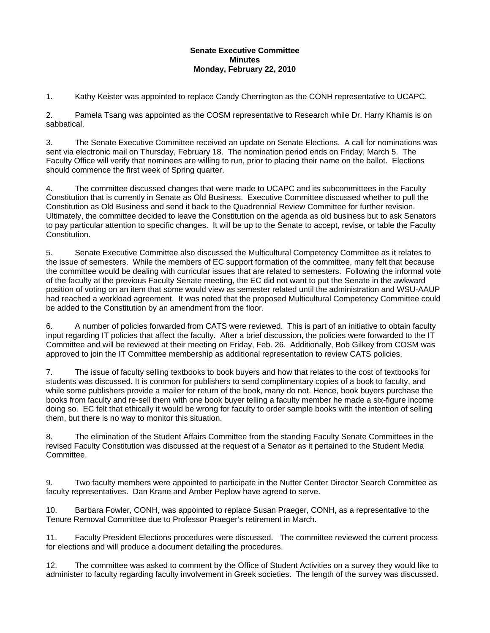### **Senate Executive Committee Minutes Monday, February 22, 2010**

1. Kathy Keister was appointed to replace Candy Cherrington as the CONH representative to UCAPC.

2. Pamela Tsang was appointed as the COSM representative to Research while Dr. Harry Khamis is on sabbatical.

3. The Senate Executive Committee received an update on Senate Elections. A call for nominations was sent via electronic mail on Thursday, February 18. The nomination period ends on Friday, March 5. The Faculty Office will verify that nominees are willing to run, prior to placing their name on the ballot. Elections should commence the first week of Spring quarter.

4. The committee discussed changes that were made to UCAPC and its subcommittees in the Faculty Constitution that is currently in Senate as Old Business. Executive Committee discussed whether to pull the Constitution as Old Business and send it back to the Quadrennial Review Committee for further revision. Ultimately, the committee decided to leave the Constitution on the agenda as old business but to ask Senators to pay particular attention to specific changes. It will be up to the Senate to accept, revise, or table the Faculty Constitution.

5. Senate Executive Committee also discussed the Multicultural Competency Committee as it relates to the issue of semesters. While the members of EC support formation of the committee, many felt that because the committee would be dealing with curricular issues that are related to semesters. Following the informal vote of the faculty at the previous Faculty Senate meeting, the EC did not want to put the Senate in the awkward position of voting on an item that some would view as semester related until the administration and WSU-AAUP had reached a workload agreement. It was noted that the proposed Multicultural Competency Committee could be added to the Constitution by an amendment from the floor.

6. A number of policies forwarded from CATS were reviewed. This is part of an initiative to obtain faculty input regarding IT policies that affect the faculty. After a brief discussion, the policies were forwarded to the IT Committee and will be reviewed at their meeting on Friday, Feb. 26. Additionally, Bob Gilkey from COSM was approved to join the IT Committee membership as additional representation to review CATS policies.

7. The issue of faculty selling textbooks to book buyers and how that relates to the cost of textbooks for students was discussed. It is common for publishers to send complimentary copies of a book to faculty, and while some publishers provide a mailer for return of the book, many do not. Hence, book buyers purchase the books from faculty and re-sell them with one book buyer telling a faculty member he made a six-figure income doing so. EC felt that ethically it would be wrong for faculty to order sample books with the intention of selling them, but there is no way to monitor this situation.

8. The elimination of the Student Affairs Committee from the standing Faculty Senate Committees in the revised Faculty Constitution was discussed at the request of a Senator as it pertained to the Student Media Committee.

9. Two faculty members were appointed to participate in the Nutter Center Director Search Committee as faculty representatives. Dan Krane and Amber Peplow have agreed to serve.

10. Barbara Fowler, CONH, was appointed to replace Susan Praeger, CONH, as a representative to the Tenure Removal Committee due to Professor Praeger's retirement in March.

11. Faculty President Elections procedures were discussed. The committee reviewed the current process for elections and will produce a document detailing the procedures.

12. The committee was asked to comment by the Office of Student Activities on a survey they would like to administer to faculty regarding faculty involvement in Greek societies. The length of the survey was discussed.